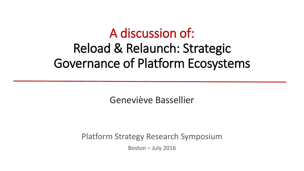## A discussion of: Reload & Relaunch: Strategic Governance of Platform Ecosystems

Geneviève Bassellier

Platform Strategy Research Symposium

Boston – July 2016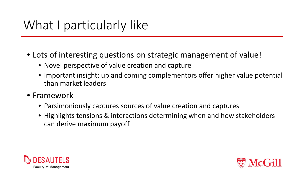- Lots of interesting questions on strategic management of value!
	- Novel perspective of value creation and capture
	- Important insight: up and coming complementors offer higher value potential than market leaders
- Framework
	- Parsimoniously captures sources of value creation and captures
	- Highlights tensions & interactions determining when and how stakeholders can derive maximum payoff



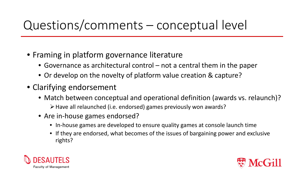## Questions/comments – conceptual level

- Framing in platform governance literature
	- Governance as architectural control not a central them in the paper
	- Or develop on the novelty of platform value creation & capture?
- Clarifying endorsement
	- Match between conceptual and operational definition (awards vs. relaunch)? Have all relaunched (i.e. endorsed) games previously won awards?
	- Are in-house games endorsed?
		- In-house games are developed to ensure quality games at console launch time
		- If they are endorsed, what becomes of the issues of bargaining power and exclusive rights?



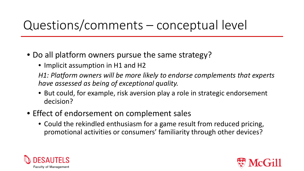## Questions/comments – conceptual level

- Do all platform owners pursue the same strategy?
	- Implicit assumption in H1 and H2

*H1: Platform owners will be more likely to endorse complements that experts have assessed as being of exceptional quality.* 

- But could, for example, risk aversion play a role in strategic endorsement decision?
- Effect of endorsement on complement sales
	- Could the rekindled enthusiasm for a game result from reduced pricing, promotional activities or consumers' familiarity through other devices?